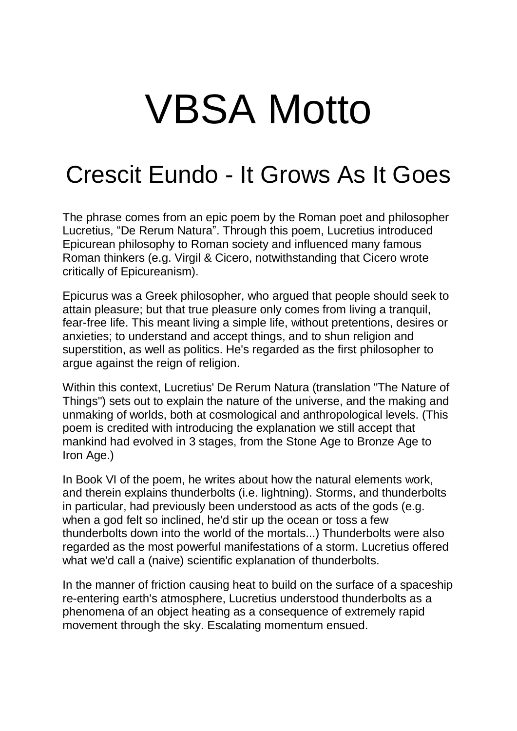## VBSA Motto

## Crescit Eundo - It Grows As It Goes

The phrase comes from an epic poem by the Roman poet and philosopher Lucretius, "De Rerum Natura". Through this poem, Lucretius introduced Epicurean philosophy to Roman society and influenced many famous Roman thinkers (e.g. Virgil & Cicero, notwithstanding that Cicero wrote critically of Epicureanism).

Epicurus was a Greek philosopher, who argued that people should seek to attain pleasure; but that true pleasure only comes from living a tranquil, fear-free life. This meant living a simple life, without pretentions, desires or anxieties; to understand and accept things, and to shun religion and superstition, as well as politics. He's regarded as the first philosopher to argue against the reign of religion.

Within this context, Lucretius' De Rerum Natura (translation "The Nature of Things") sets out to explain the nature of the universe, and the making and unmaking of worlds, both at cosmological and anthropological levels. (This poem is credited with introducing the explanation we still accept that mankind had evolved in 3 stages, from the Stone Age to Bronze Age to Iron Age.)

In Book VI of the poem, he writes about how the natural elements work, and therein explains thunderbolts (i.e. lightning). Storms, and thunderbolts in particular, had previously been understood as acts of the gods (e.g. when a god felt so inclined, he'd stir up the ocean or toss a few thunderbolts down into the world of the mortals...) Thunderbolts were also regarded as the most powerful manifestations of a storm. Lucretius offered what we'd call a (naive) scientific explanation of thunderbolts.

In the manner of friction causing heat to build on the surface of a spaceship re-entering earth's atmosphere, Lucretius understood thunderbolts as a phenomena of an object heating as a consequence of extremely rapid movement through the sky. Escalating momentum ensued.